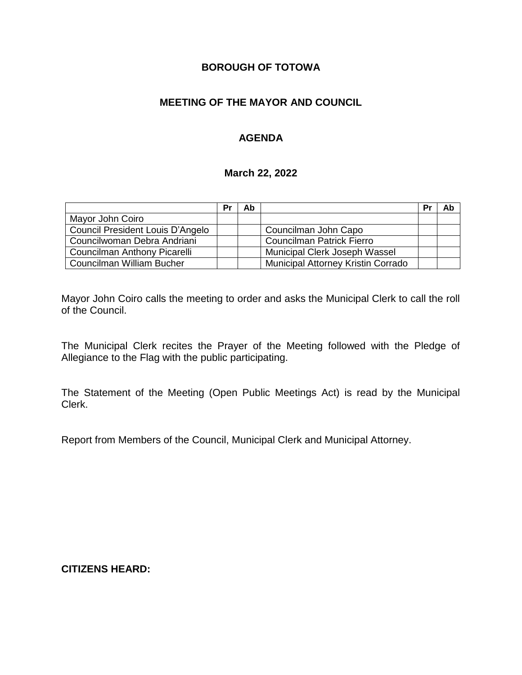### **BOROUGH OF TOTOWA**

### **MEETING OF THE MAYOR AND COUNCIL**

### **AGENDA**

#### **March 22, 2022**

|                                  | Pr | Ab |                                    | Pr | Ab |
|----------------------------------|----|----|------------------------------------|----|----|
| Mayor John Coiro                 |    |    |                                    |    |    |
| Council President Louis D'Angelo |    |    | Councilman John Capo               |    |    |
| Councilwoman Debra Andriani      |    |    | <b>Councilman Patrick Fierro</b>   |    |    |
| Councilman Anthony Picarelli     |    |    | Municipal Clerk Joseph Wassel      |    |    |
| Councilman William Bucher        |    |    | Municipal Attorney Kristin Corrado |    |    |

Mayor John Coiro calls the meeting to order and asks the Municipal Clerk to call the roll of the Council.

The Municipal Clerk recites the Prayer of the Meeting followed with the Pledge of Allegiance to the Flag with the public participating.

The Statement of the Meeting (Open Public Meetings Act) is read by the Municipal Clerk.

Report from Members of the Council, Municipal Clerk and Municipal Attorney.

**CITIZENS HEARD:**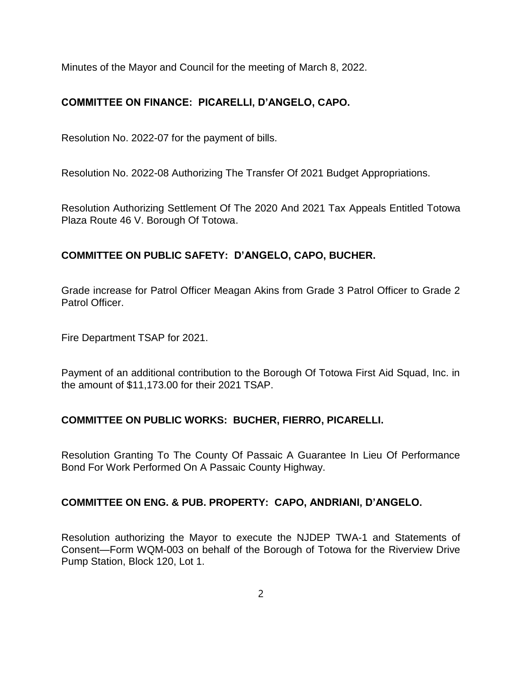Minutes of the Mayor and Council for the meeting of March 8, 2022.

# **COMMITTEE ON FINANCE: PICARELLI, D'ANGELO, CAPO.**

Resolution No. 2022-07 for the payment of bills.

Resolution No. 2022-08 Authorizing The Transfer Of 2021 Budget Appropriations.

Resolution Authorizing Settlement Of The 2020 And 2021 Tax Appeals Entitled Totowa Plaza Route 46 V. Borough Of Totowa.

## **COMMITTEE ON PUBLIC SAFETY: D'ANGELO, CAPO, BUCHER.**

Grade increase for Patrol Officer Meagan Akins from Grade 3 Patrol Officer to Grade 2 Patrol Officer.

Fire Department TSAP for 2021.

Payment of an additional contribution to the Borough Of Totowa First Aid Squad, Inc. in the amount of \$11,173.00 for their 2021 TSAP.

## **COMMITTEE ON PUBLIC WORKS: BUCHER, FIERRO, PICARELLI.**

Resolution Granting To The County Of Passaic A Guarantee In Lieu Of Performance Bond For Work Performed On A Passaic County Highway.

#### **COMMITTEE ON ENG. & PUB. PROPERTY: CAPO, ANDRIANI, D'ANGELO.**

Resolution authorizing the Mayor to execute the NJDEP TWA-1 and Statements of Consent—Form WQM-003 on behalf of the Borough of Totowa for the Riverview Drive Pump Station, Block 120, Lot 1.